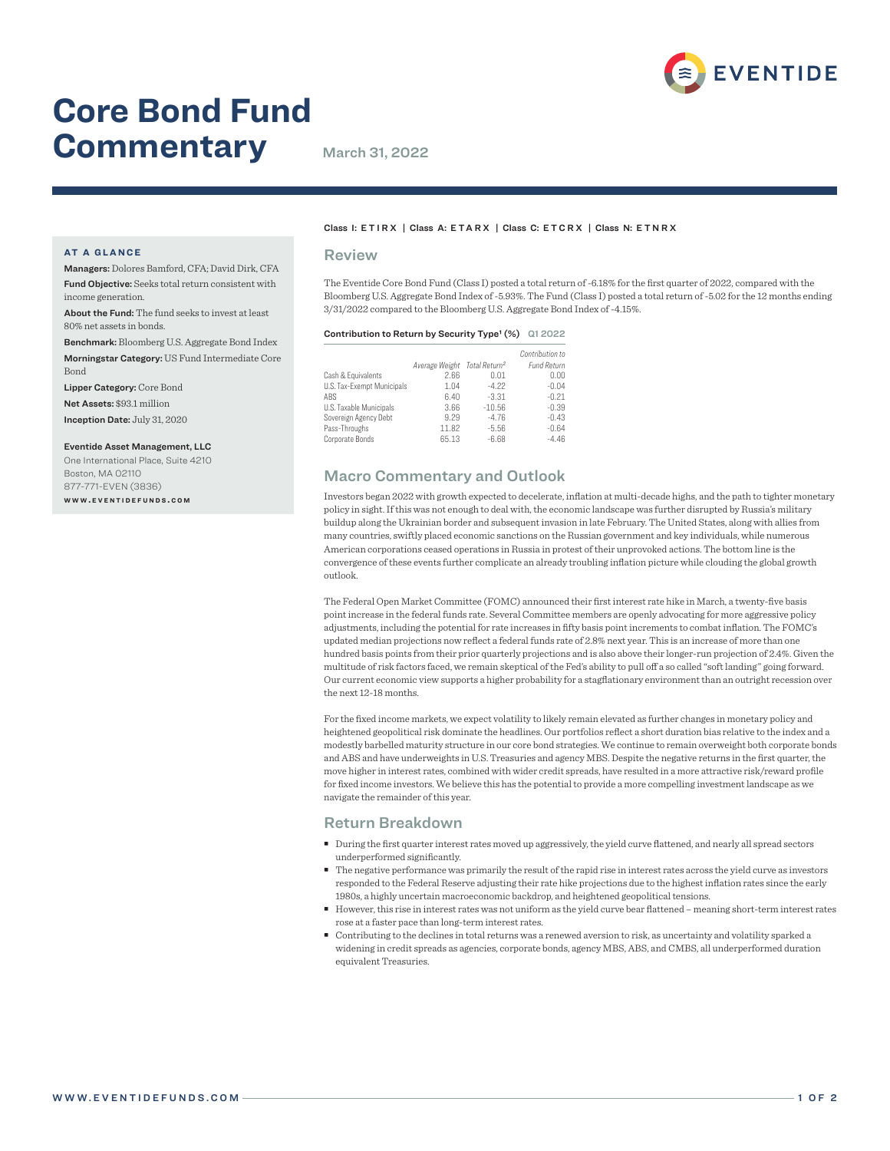

# **Core Bond Fund Commentary** March 31, 2022

#### **AT A GLANCE**

Managers: Dolores Bamford, CFA; David Dirk, CFA Fund Objective: Seeks total return consistent with income generation.

About the Fund: The fund seeks to invest at least 80% net assets in bonds.

Benchmark: Bloomberg U.S. Aggregate Bond Index Morningstar Category: US Fund Intermediate Core Bond

Lipper Category: Core Bond

Net Assets: \$93.1 million

Inception Date: July 31, 2020

Eventide Asset Management, LLC

One International Place, Suite 4210 Boston, MA 02110 877-771-EVEN (3836) **w w w . e v e n t i d e f u n d s . c o m**

#### Class I: ETIRX | Class A: ETARX | Class C: ETCRX | Class N: ETNRX

#### Review

The Eventide Core Bond Fund (Class I) posted a total return of -6.18% for the first quarter of 2022, compared with the Bloomberg U.S. Aggregate Bond Index of -5.93%. The Fund (Class I) posted a total return of -5.02 for the 12 months ending 3/31/2022 compared to the Bloomberg U.S. Aggregate Bond Index of -4.15%.

#### Contribution to Return by Security Type<sup>1</sup> (%) Q1 2022

|                            |                                          |          | Contribution to    |
|----------------------------|------------------------------------------|----------|--------------------|
|                            | Average Weight Total Return <sup>2</sup> |          | <b>Fund Return</b> |
| Cash & Equivalents         | 2.66                                     | 0.01     | 0.00               |
| U.S. Tax-Exempt Municipals | 1.04                                     | $-4.22$  | $-0.04$            |
| ABS                        | 6.40                                     | $-3.31$  | $-0.21$            |
| U.S. Taxable Municipals    | 3.66                                     | $-10.56$ | $-0.39$            |
| Sovereign Agency Debt      | 9.29                                     | $-4.76$  | $-0.43$            |
| Pass-Throughs              | 11.82                                    | $-5.56$  | $-0.64$            |
| Corporate Bonds            | 65.13                                    | $-6.68$  | $-4.46$            |

## Macro Commentary and Outlook

Investors began 2022 with growth expected to decelerate, inflation at multi-decade highs, and the path to tighter monetary policy in sight. If this was not enough to deal with, the economic landscape was further disrupted by Russia's military buildup along the Ukrainian border and subsequent invasion in late February. The United States, along with allies from many countries, swiftly placed economic sanctions on the Russian government and key individuals, while numerous American corporations ceased operations in Russia in protest of their unprovoked actions. The bottom line is the convergence of these events further complicate an already troubling inflation picture while clouding the global growth outlook.

The Federal Open Market Committee (FOMC) announced their first interest rate hike in March, a twenty-five basis point increase in the federal funds rate. Several Committee members are openly advocating for more aggressive policy adjustments, including the potential for rate increases in fifty basis point increments to combat inflation. The FOMC's updated median projections now reflect a federal funds rate of 2.8% next year. This is an increase of more than one hundred basis points from their prior quarterly projections and is also above their longer-run projection of 2.4%. Given the multitude of risk factors faced, we remain skeptical of the Fed's ability to pull off a so called "soft landing" going forward. Our current economic view supports a higher probability for a stagflationary environment than an outright recession over the next 12-18 months.

For the fixed income markets, we expect volatility to likely remain elevated as further changes in monetary policy and heightened geopolitical risk dominate the headlines. Our portfolios reflect a short duration bias relative to the index and a modestly barbelled maturity structure in our core bond strategies. We continue to remain overweight both corporate bonds and ABS and have underweights in U.S. Treasuries and agency MBS. Despite the negative returns in the first quarter, the move higher in interest rates, combined with wider credit spreads, have resulted in a more attractive risk/reward profile for fixed income investors. We believe this has the potential to provide a more compelling investment landscape as we navigate the remainder of this year.

## Return Breakdown

- During the first quarter interest rates moved up aggressively, the yield curve flattened, and nearly all spread sectors underperformed significantly.
- The negative performance was primarily the result of the rapid rise in interest rates across the yield curve as investors responded to the Federal Reserve adjusting their rate hike projections due to the highest inflation rates since the early 1980s, a highly uncertain macroeconomic backdrop, and heightened geopolitical tensions.
- However, this rise in interest rates was not uniform as the yield curve bear flattened meaning short-term interest rates rose at a faster pace than long-term interest rates.
- Contributing to the declines in total returns was a renewed aversion to risk, as uncertainty and volatility sparked a widening in credit spreads as agencies, corporate bonds, agency MBS, ABS, and CMBS, all underperformed duration equivalent Treasuries.